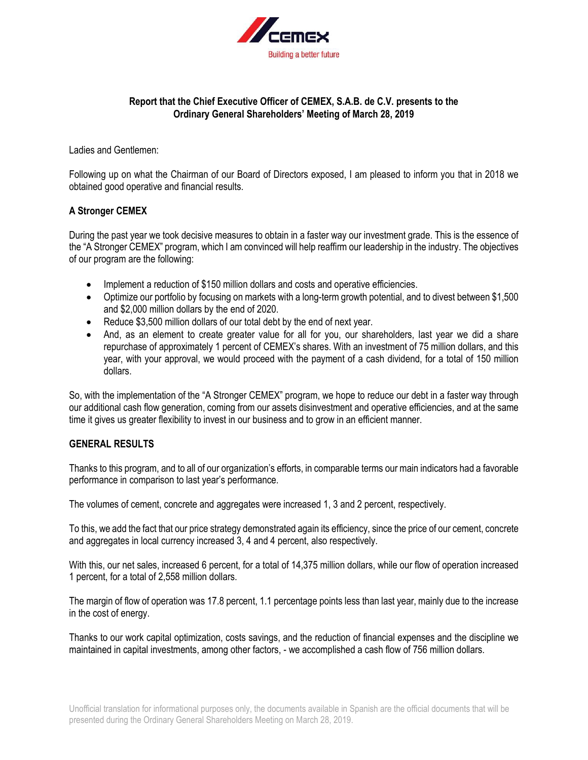

# **Report that the Chief Executive Officer of CEMEX, S.A.B. de C.V. presents to the Ordinary General Shareholders' Meeting of March 28, 2019**

Ladies and Gentlemen:

Following up on what the Chairman of our Board of Directors exposed, I am pleased to inform you that in 2018 we obtained good operative and financial results.

## **A Stronger CEMEX**

During the past year we took decisive measures to obtain in a faster way our investment grade. This is the essence of the "A Stronger CEMEX" program, which I am convinced will help reaffirm our leadership in the industry. The objectives of our program are the following:

- Implement a reduction of \$150 million dollars and costs and operative efficiencies.
- Optimize our portfolio by focusing on markets with a long-term growth potential, and to divest between \$1,500 and \$2,000 million dollars by the end of 2020.
- Reduce \$3,500 million dollars of our total debt by the end of next year.
- And, as an element to create greater value for all for you, our shareholders, last year we did a share repurchase of approximately 1 percent of CEMEX's shares. With an investment of 75 million dollars, and this year, with your approval, we would proceed with the payment of a cash dividend, for a total of 150 million dollars.

So, with the implementation of the "A Stronger CEMEX" program, we hope to reduce our debt in a faster way through our additional cash flow generation, coming from our assets disinvestment and operative efficiencies, and at the same time it gives us greater flexibility to invest in our business and to grow in an efficient manner.

## **GENERAL RESULTS**

Thanks to this program, and to all of our organization's efforts, in comparable terms our main indicators had a favorable performance in comparison to last year's performance.

The volumes of cement, concrete and aggregates were increased 1, 3 and 2 percent, respectively.

To this, we add the fact that our price strategy demonstrated again its efficiency, since the price of our cement, concrete and aggregates in local currency increased 3, 4 and 4 percent, also respectively.

With this, our net sales, increased 6 percent, for a total of 14,375 million dollars, while our flow of operation increased 1 percent, for a total of 2,558 million dollars.

The margin of flow of operation was 17.8 percent, 1.1 percentage points less than last year, mainly due to the increase in the cost of energy.

Thanks to our work capital optimization, costs savings, and the reduction of financial expenses and the discipline we maintained in capital investments, among other factors, - we accomplished a cash flow of 756 million dollars.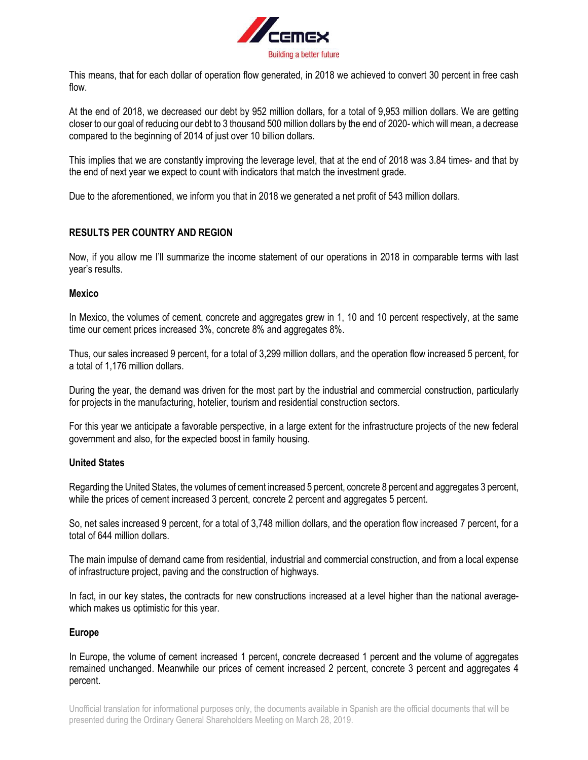

This means, that for each dollar of operation flow generated, in 2018 we achieved to convert 30 percent in free cash flow.

At the end of 2018, we decreased our debt by 952 million dollars, for a total of 9,953 million dollars. We are getting closer to our goal of reducing our debt to 3 thousand 500 million dollars by the end of 2020- which will mean, a decrease compared to the beginning of 2014 of just over 10 billion dollars.

This implies that we are constantly improving the leverage level, that at the end of 2018 was 3.84 times- and that by the end of next year we expect to count with indicators that match the investment grade.

Due to the aforementioned, we inform you that in 2018 we generated a net profit of 543 million dollars.

# **RESULTS PER COUNTRY AND REGION**

Now, if you allow me I'll summarize the income statement of our operations in 2018 in comparable terms with last year's results.

## **Mexico**

In Mexico, the volumes of cement, concrete and aggregates grew in 1, 10 and 10 percent respectively, at the same time our cement prices increased 3%, concrete 8% and aggregates 8%.

Thus, our sales increased 9 percent, for a total of 3,299 million dollars, and the operation flow increased 5 percent, for a total of 1,176 million dollars.

During the year, the demand was driven for the most part by the industrial and commercial construction, particularly for projects in the manufacturing, hotelier, tourism and residential construction sectors.

For this year we anticipate a favorable perspective, in a large extent for the infrastructure projects of the new federal government and also, for the expected boost in family housing.

## **United States**

Regarding the United States, the volumes of cement increased 5 percent, concrete 8 percent and aggregates 3 percent, while the prices of cement increased 3 percent, concrete 2 percent and aggregates 5 percent.

So, net sales increased 9 percent, for a total of 3,748 million dollars, and the operation flow increased 7 percent, for a total of 644 million dollars.

The main impulse of demand came from residential, industrial and commercial construction, and from a local expense of infrastructure project, paving and the construction of highways.

In fact, in our key states, the contracts for new constructions increased at a level higher than the national averagewhich makes us optimistic for this year.

## **Europe**

In Europe, the volume of cement increased 1 percent, concrete decreased 1 percent and the volume of aggregates remained unchanged. Meanwhile our prices of cement increased 2 percent, concrete 3 percent and aggregates 4 percent.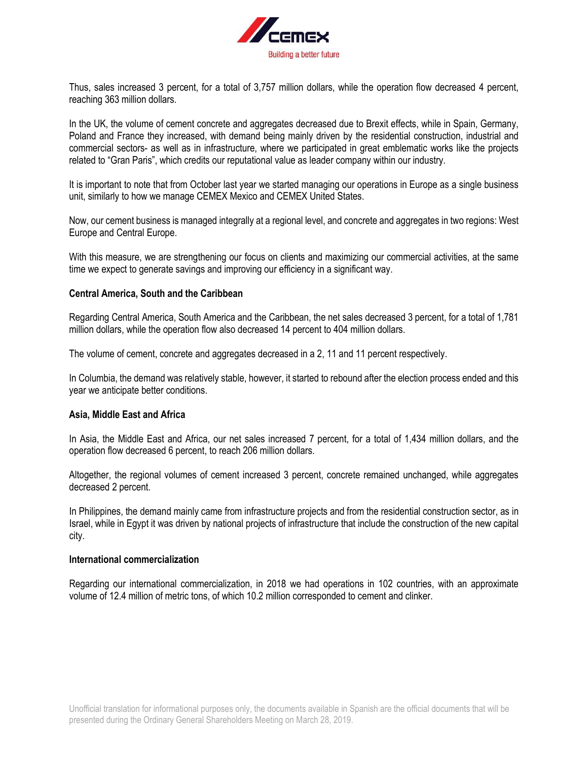

Thus, sales increased 3 percent, for a total of 3,757 million dollars, while the operation flow decreased 4 percent, reaching 363 million dollars.

In the UK, the volume of cement concrete and aggregates decreased due to Brexit effects, while in Spain, Germany, Poland and France they increased, with demand being mainly driven by the residential construction, industrial and commercial sectors- as well as in infrastructure, where we participated in great emblematic works like the projects related to "Gran Paris", which credits our reputational value as leader company within our industry.

It is important to note that from October last year we started managing our operations in Europe as a single business unit, similarly to how we manage CEMEX Mexico and CEMEX United States.

Now, our cement business is managed integrally at a regional level, and concrete and aggregates in two regions: West Europe and Central Europe.

With this measure, we are strengthening our focus on clients and maximizing our commercial activities, at the same time we expect to generate savings and improving our efficiency in a significant way.

#### **Central America, South and the Caribbean**

Regarding Central America, South America and the Caribbean, the net sales decreased 3 percent, for a total of 1,781 million dollars, while the operation flow also decreased 14 percent to 404 million dollars.

The volume of cement, concrete and aggregates decreased in a 2, 11 and 11 percent respectively.

In Columbia, the demand was relatively stable, however, it started to rebound after the election process ended and this year we anticipate better conditions.

#### **Asia, Middle East and Africa**

In Asia, the Middle East and Africa, our net sales increased 7 percent, for a total of 1,434 million dollars, and the operation flow decreased 6 percent, to reach 206 million dollars.

Altogether, the regional volumes of cement increased 3 percent, concrete remained unchanged, while aggregates decreased 2 percent.

In Philippines, the demand mainly came from infrastructure projects and from the residential construction sector, as in Israel, while in Egypt it was driven by national projects of infrastructure that include the construction of the new capital city.

#### **International commercialization**

Regarding our international commercialization, in 2018 we had operations in 102 countries, with an approximate volume of 12.4 million of metric tons, of which 10.2 million corresponded to cement and clinker.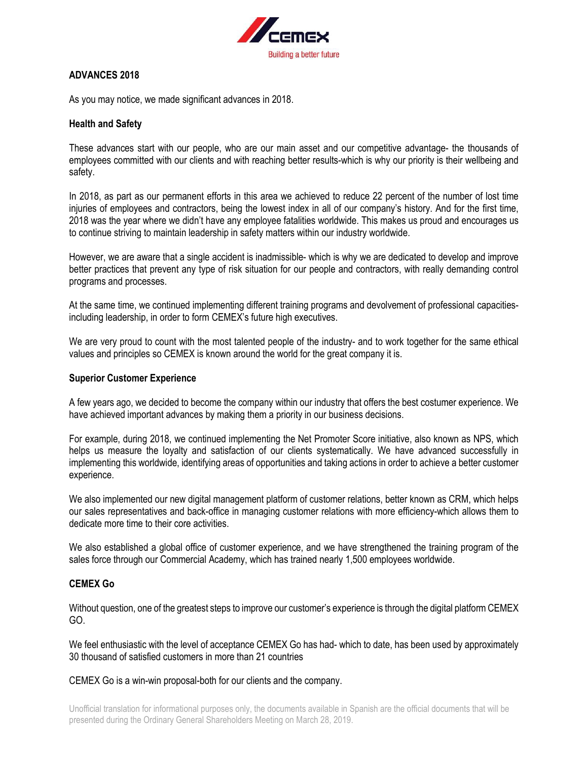

## **ADVANCES 2018**

As you may notice, we made significant advances in 2018.

### **Health and Safety**

These advances start with our people, who are our main asset and our competitive advantage- the thousands of employees committed with our clients and with reaching better results-which is why our priority is their wellbeing and safety.

In 2018, as part as our permanent efforts in this area we achieved to reduce 22 percent of the number of lost time injuries of employees and contractors, being the lowest index in all of our company's history. And for the first time, 2018 was the year where we didn't have any employee fatalities worldwide. This makes us proud and encourages us to continue striving to maintain leadership in safety matters within our industry worldwide.

However, we are aware that a single accident is inadmissible- which is why we are dedicated to develop and improve better practices that prevent any type of risk situation for our people and contractors, with really demanding control programs and processes.

At the same time, we continued implementing different training programs and devolvement of professional capacitiesincluding leadership, in order to form CEMEX's future high executives.

We are very proud to count with the most talented people of the industry- and to work together for the same ethical values and principles so CEMEX is known around the world for the great company it is.

#### **Superior Customer Experience**

A few years ago, we decided to become the company within our industry that offers the best costumer experience. We have achieved important advances by making them a priority in our business decisions.

For example, during 2018, we continued implementing the Net Promoter Score initiative, also known as NPS, which helps us measure the loyalty and satisfaction of our clients systematically. We have advanced successfully in implementing this worldwide, identifying areas of opportunities and taking actions in order to achieve a better customer experience.

We also implemented our new digital management platform of customer relations, better known as CRM, which helps our sales representatives and back-office in managing customer relations with more efficiency-which allows them to dedicate more time to their core activities.

We also established a global office of customer experience, and we have strengthened the training program of the sales force through our Commercial Academy, which has trained nearly 1,500 employees worldwide.

## **CEMEX Go**

Without question, one of the greatest steps to improve our customer's experience is through the digital platform CEMEX GO.

We feel enthusiastic with the level of acceptance CEMEX Go has had-which to date, has been used by approximately 30 thousand of satisfied customers in more than 21 countries

CEMEX Go is a win-win proposal-both for our clients and the company.

Unofficial translation for informational purposes only, the documents available in Spanish are the official documents that will be presented during the Ordinary General Shareholders Meeting on March 28, 2019.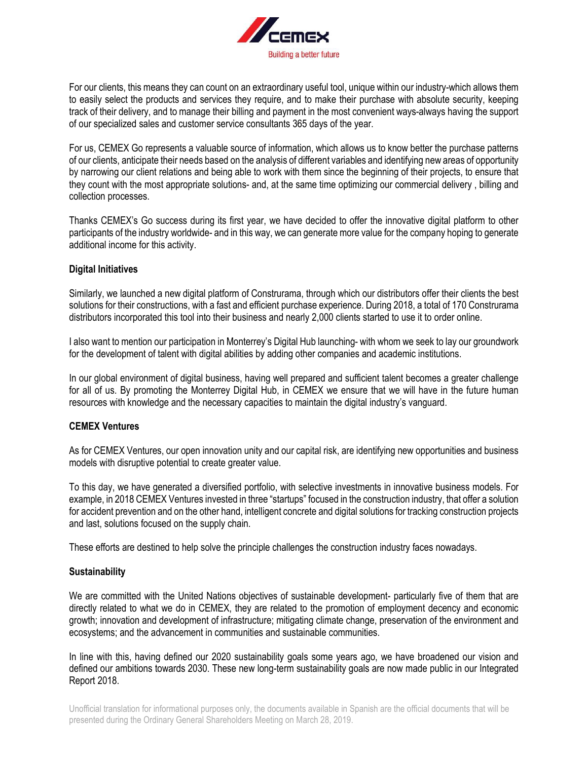

For our clients, this means they can count on an extraordinary useful tool, unique within our industry-which allows them to easily select the products and services they require, and to make their purchase with absolute security, keeping track of their delivery, and to manage their billing and payment in the most convenient ways-always having the support of our specialized sales and customer service consultants 365 days of the year.

For us, CEMEX Go represents a valuable source of information, which allows us to know better the purchase patterns of our clients, anticipate their needs based on the analysis of different variables and identifying new areas of opportunity by narrowing our client relations and being able to work with them since the beginning of their projects, to ensure that they count with the most appropriate solutions- and, at the same time optimizing our commercial delivery , billing and collection processes.

Thanks CEMEX's Go success during its first year, we have decided to offer the innovative digital platform to other participants of the industry worldwide- and in this way, we can generate more value for the company hoping to generate additional income for this activity.

## **Digital Initiatives**

Similarly, we launched a new digital platform of Construrama, through which our distributors offer their clients the best solutions for their constructions, with a fast and efficient purchase experience. During 2018, a total of 170 Construrama distributors incorporated this tool into their business and nearly 2,000 clients started to use it to order online.

I also want to mention our participation in Monterrey's Digital Hub launching- with whom we seek to lay our groundwork for the development of talent with digital abilities by adding other companies and academic institutions.

In our global environment of digital business, having well prepared and sufficient talent becomes a greater challenge for all of us. By promoting the Monterrey Digital Hub, in CEMEX we ensure that we will have in the future human resources with knowledge and the necessary capacities to maintain the digital industry's vanguard.

## **CEMEX Ventures**

As for CEMEX Ventures, our open innovation unity and our capital risk, are identifying new opportunities and business models with disruptive potential to create greater value.

To this day, we have generated a diversified portfolio, with selective investments in innovative business models. For example, in 2018 CEMEX Ventures invested in three "startups" focused in the construction industry, that offer a solution for accident prevention and on the other hand, intelligent concrete and digital solutions for tracking construction projects and last, solutions focused on the supply chain.

These efforts are destined to help solve the principle challenges the construction industry faces nowadays.

## **Sustainability**

We are committed with the United Nations objectives of sustainable development- particularly five of them that are directly related to what we do in CEMEX, they are related to the promotion of employment decency and economic growth; innovation and development of infrastructure; mitigating climate change, preservation of the environment and ecosystems; and the advancement in communities and sustainable communities.

In line with this, having defined our 2020 sustainability goals some years ago, we have broadened our vision and defined our ambitions towards 2030. These new long-term sustainability goals are now made public in our Integrated Report 2018.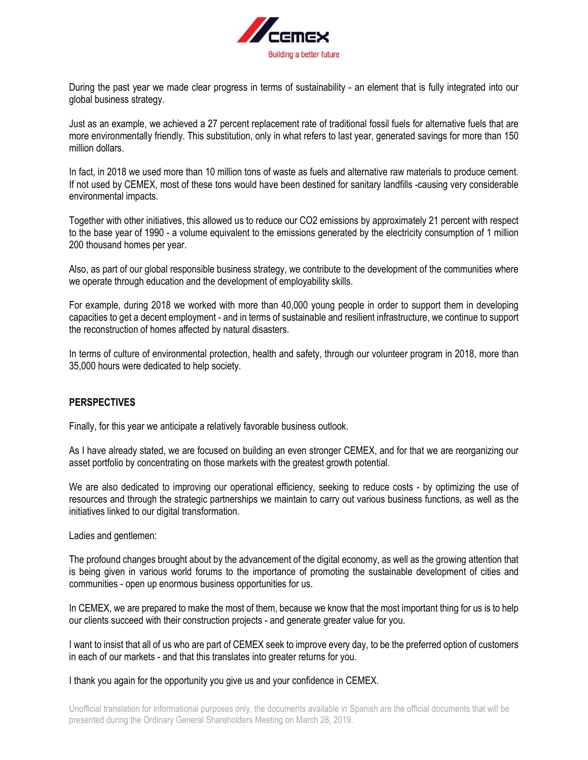

During the past year we made clear progress in terms of sustainability - an element that is fully integrated into our global business strategy.

Just as an example, we achieved a 27 percent replacement rate of traditional fossil fuels for alternative fuels that are more environmentally friendly. This substitution, only in what refers to last year, generated savings for more than 150 million dollars.

In fact, in 2018 we used more than 10 million tons of waste as fuels and alternative raw materials to produce cement. If not used by CEMEX, most of these tons would have been destined for sanitary landfills -causing very considerable environmental impacts.

Together with other initiatives, this allowed us to reduce our CO2 emissions by approximately 21 percent with respect to the base year of 1990 - a volume equivalent to the emissions generated by the electricity consumption of 1 million 200 thousand homes per year.

Also, as part of our global responsible business strategy, we contribute to the development of the communities where we operate through education and the development of employability skills.

For example, during 2018 we worked with more than 40,000 young people in order to support them in developing capacities to get a decent employment - and in terms of sustainable and resilient infrastructure, we continue to support the reconstruction of homes affected by natural disasters.

In terms of culture of environmental protection, health and safety, through our volunteer program in 2018, more than 35,000 hours were dedicated to help society.

# **PERSPECTIVES**

Finally, for this year we anticipate a relatively favorable business outlook.

As I have already stated, we are focused on building an even stronger CEMEX, and for that we are reorganizing our asset portfolio by concentrating on those markets with the greatest growth potential.

We are also dedicated to improving our operational efficiency, seeking to reduce costs - by optimizing the use of resources and through the strategic partnerships we maintain to carry out various business functions, as well as the initiatives linked to our digital transformation.

Ladies and gentlemen:

The profound changes brought about by the advancement of the digital economy, as well as the growing attention that is being given in various world forums to the importance of promoting the sustainable development of cities and communities - open up enormous business opportunities for us.

In CEMEX, we are prepared to make the most of them, because we know that the most important thing for us is to help our clients succeed with their construction projects - and generate greater value for you.

I want to insist that all of us who are part of CEMEX seek to improve every day, to be the preferred option of customers in each of our markets - and that this translates into greater returns for you.

I thank you again for the opportunity you give us and your confidence in CEMEX.